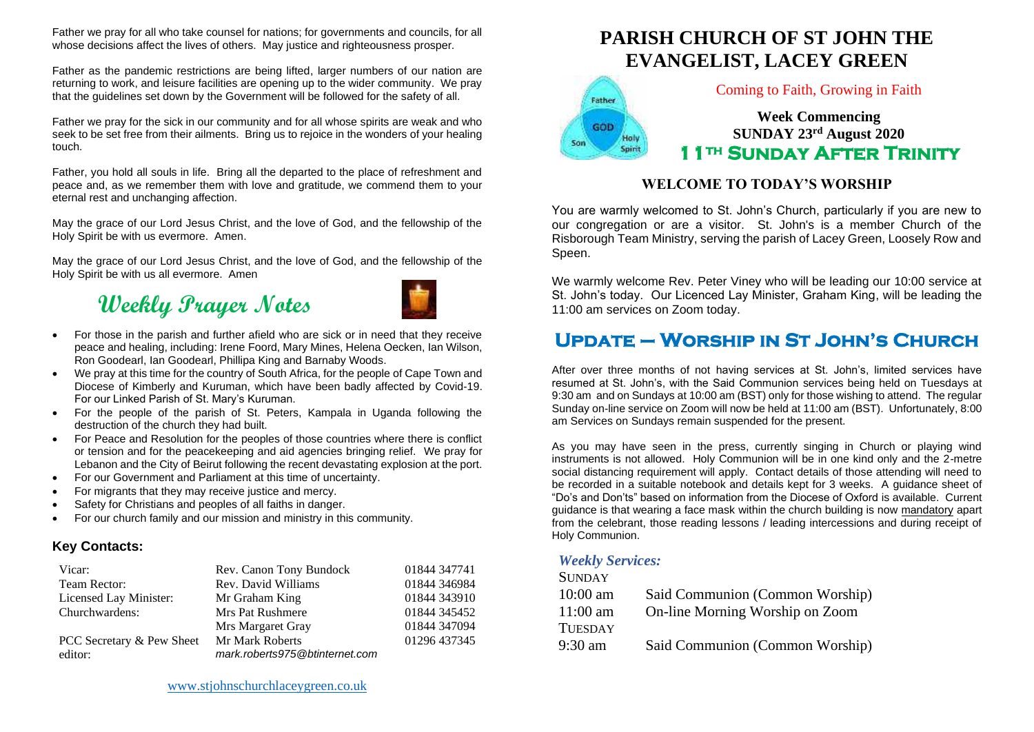Father we pray for all who take counsel for nations; for governments and councils, for all whose decisions affect the lives of others. May justice and righteousness prosper.

Father as the pandemic restrictions are being lifted, larger numbers of our nation are returning to work, and leisure facilities are opening up to the wider community. We pray that the guidelines set down by the Government will be followed for the safety of all.

Father we pray for the sick in our community and for all whose spirits are weak and who seek to be set free from their ailments. Bring us to rejoice in the wonders of your healing touch.

Father, you hold all souls in life. Bring all the departed to the place of refreshment and peace and, as we remember them with love and gratitude, we commend them to your eternal rest and unchanging affection.

May the grace of our Lord Jesus Christ, and the love of God, and the fellowship of the Holy Spirit be with us evermore. Amen.

May the grace of our Lord Jesus Christ, and the love of God, and the fellowship of the Holy Spirit be with us all evermore. Amen

# **Weekly Prayer Notes**



- For those in the parish and further afield who are sick or in need that they receive peace and healing, including: Irene Foord, Mary Mines, Helena Oecken, Ian Wilson, Ron Goodearl, Ian Goodearl, Phillipa King and Barnaby Woods.
- We pray at this time for the country of South Africa, for the people of Cape Town and Diocese of Kimberly and Kuruman, which have been badly affected by Covid-19. For our Linked Parish of St. Mary's Kuruman.
- For the people of the parish of St. Peters, Kampala in Uganda following the destruction of the church they had built.
- For Peace and Resolution for the peoples of those countries where there is conflict or tension and for the peacekeeping and aid agencies bringing relief. We pray for Lebanon and the City of Beirut following the recent devastating explosion at the port.
- For our Government and Parliament at this time of uncertainty.
- For migrants that they may receive justice and mercy.
- Safety for Christians and peoples of all faiths in danger.
- For our church family and our mission and ministry in this community.

### **Key Contacts:**

| Vicar:                    | Rev. Canon Tony Bundock        | 01844 347741 |
|---------------------------|--------------------------------|--------------|
| Team Rector:              | Rev. David Williams            | 01844 346984 |
| Licensed Lay Minister:    | Mr Graham King                 | 01844 343910 |
| Churchwardens:            | Mrs Pat Rushmere               | 01844 345452 |
|                           | Mrs Margaret Gray              | 01844 347094 |
| PCC Secretary & Pew Sheet | Mr Mark Roberts                | 01296 437345 |
| editor:                   | mark.roberts975@btinternet.com |              |

### [www.stjohnschurchlaceygreen.co.uk](http://www.stjohnschurchlaceygreen.co.uk/)

# **PARISH CHURCH OF ST JOHN THE EVANGELIST, LACEY GREEN**



### Coming to Faith, Growing in Faith

**Week Commencing SUNDAY 23rd August 2020 11th Sunday After Trinity** 

### **WELCOME TO TODAY'S WORSHIP**

You are warmly welcomed to St. John's Church, particularly if you are new to our congregation or are a visitor. St. John's is a member Church of the Risborough Team Ministry, serving the parish of Lacey Green, Loosely Row and Speen.

We warmly welcome Rev. Peter Viney who will be leading our 10:00 service at St. John's today. Our Licenced Lay Minister, Graham King, will be leading the 11:00 am services on Zoom today.

## **Update – Worship in St John's Church**

After over three months of not having services at St. John's, limited services have resumed at St. John's, with the Said Communion services being held on Tuesdays at 9:30 am and on Sundays at 10:00 am (BST) only for those wishing to attend. The regular Sunday on-line service on Zoom will now be held at 11:00 am (BST). Unfortunately, 8:00 am Services on Sundays remain suspended for the present.

As you may have seen in the press, currently singing in Church or playing wind instruments is not allowed. Holy Communion will be in one kind only and the 2-metre social distancing requirement will apply. Contact details of those attending will need to be recorded in a suitable notebook and details kept for 3 weeks. A guidance sheet of "Do's and Don'ts" based on information from the Diocese of Oxford is available. Current guidance is that wearing a face mask within the church building is now mandatory apart from the celebrant, those reading lessons / leading intercessions and during receipt of Holy Communion.

### *Weekly Services:*

| <b>SUNDAY</b>  |                                 |
|----------------|---------------------------------|
| $10:00$ am     | Said Communion (Common Worship) |
| $11:00$ am     | On-line Morning Worship on Zoom |
| <b>TUESDAY</b> |                                 |
| 9:30 am        | Said Communion (Common Worship) |